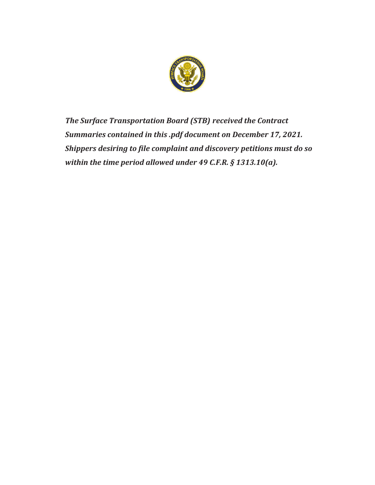

*The Surface Transportation Board (STB) received the Contract Summaries contained in this .pdf document on December 17, 2021. Shippers desiring to file complaint and discovery petitions must do so within the time period allowed under 49 C.F.R. § 1313.10(a).*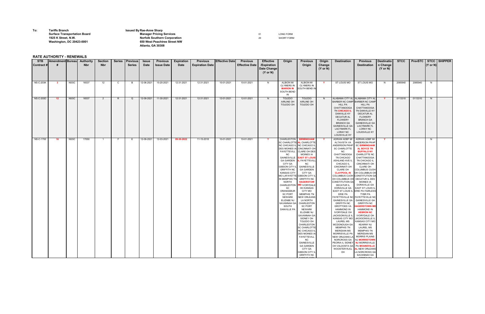**To: Tariffs Branch Issued ByRae-Anne Sharp**

**Surface Transportation Board**<br> **Manager Pricing Services Convention Manager Pricing Services Convention Convention Convention Convention Convention Convention Convention Convention Convention Conve 1925 K Street, N.W. Norfolk Southern Corporation** 20 20 SHORT FORM SHORT FORM 20 SHORT FORM 20 SHORT FORM SHORT FORM SHORT FORM SHORT FORM SHORT FORM SHORT FORM SHORT FORM SHORT FORM SHORT FORM SHORT FORM SHORT RANGER S **Washington, DC 20423-0001 650 West Peachtree Street NW Atlanta, GA 30308**

## **RATE AUTHORITY - RENEWALS**

| <b>STB</b><br>Contract # | <b>Amendment Bureau</b> |             | <b>Authority</b><br><b>Nbr</b> | <b>Section</b><br><b>Nbr</b> | <b>Series</b> | <b>Previous</b><br><b>Series</b> | <b>Issue</b><br><b>Date</b> | <b>Previous</b><br><b>Issue Date</b> | <b>Expiration</b><br><b>Date</b> | <b>Previous</b><br><b>Expiration Date</b> | <b>Effective Date</b> | <b>Previous</b><br><b>Effective Date</b> | <b>Effective</b><br>/Expiration<br><b>Date Change</b><br>$(Y \text{ or } N)$ | Origin                                                                                                                                                                                                                                                                                                                                                                                                                           | <b>Previous</b><br>Origin                                                                                                                                                                                                                                                                                                                                                                                                                                                                                                                                                                                                                              | Origin<br>Change<br>$(Y \text{ or } N)$ | <b>Destination</b>                                                                                                                                                                                                                                                                                                                                                                                                                                                                                                                                                                                                                                                                                                                                      | <b>Previous</b><br><b>Destination</b>                                                                                                                                                                                                                                                                                                                                                                                                                                                                                                                                                                                                                                                                                           | <b>Destinatio</b><br>n Change<br>$(Y \text{ or } N)$ | <b>STCC</b> |         | $(Y \text{ or } N)$ | PrevSTC   STCC   SHIPPER |
|--------------------------|-------------------------|-------------|--------------------------------|------------------------------|---------------|----------------------------------|-----------------------------|--------------------------------------|----------------------------------|-------------------------------------------|-----------------------|------------------------------------------|------------------------------------------------------------------------------|----------------------------------------------------------------------------------------------------------------------------------------------------------------------------------------------------------------------------------------------------------------------------------------------------------------------------------------------------------------------------------------------------------------------------------|--------------------------------------------------------------------------------------------------------------------------------------------------------------------------------------------------------------------------------------------------------------------------------------------------------------------------------------------------------------------------------------------------------------------------------------------------------------------------------------------------------------------------------------------------------------------------------------------------------------------------------------------------------|-----------------------------------------|---------------------------------------------------------------------------------------------------------------------------------------------------------------------------------------------------------------------------------------------------------------------------------------------------------------------------------------------------------------------------------------------------------------------------------------------------------------------------------------------------------------------------------------------------------------------------------------------------------------------------------------------------------------------------------------------------------------------------------------------------------|---------------------------------------------------------------------------------------------------------------------------------------------------------------------------------------------------------------------------------------------------------------------------------------------------------------------------------------------------------------------------------------------------------------------------------------------------------------------------------------------------------------------------------------------------------------------------------------------------------------------------------------------------------------------------------------------------------------------------------|------------------------------------------------------|-------------|---------|---------------------|--------------------------|
| <b>NS-C-203K</b>         | - 3                     | <b>NSSC</b> | 16537                          | $12 \overline{ }$            | $\mathsf{C}$  |                                  | 12-06-2021                  | 10-20-2021                           | 12-31-2021                       | 12-31-2021                                | 10-01-2021            | 10-01-2021                               | N.                                                                           | <b>ALBION MI</b><br><b>CLYMERS IN</b><br><b>MARION IN</b><br>SOUTH BEND<br>IN                                                                                                                                                                                                                                                                                                                                                    | <b>ALBION MI</b><br><b>CLYMERS IN</b><br>SOUTH BEND IN                                                                                                                                                                                                                                                                                                                                                                                                                                                                                                                                                                                                 | <b>Y</b>                                | <b>ST LOUIS MO</b>                                                                                                                                                                                                                                                                                                                                                                                                                                                                                                                                                                                                                                                                                                                                      | <b>ST LOUIS MO</b>                                                                                                                                                                                                                                                                                                                                                                                                                                                                                                                                                                                                                                                                                                              | N.                                                   | 2085940     | 2085940 | N                   |                          |
| $NS-C-203D$              | $-12$                   | <b>NSSC</b> | 16537                          | $\overline{2}$               | R.            | O                                | 12-09-2021                  | 11-30-2021                           | 12-31-2021                       | 12-31-2021                                | 12-01-2021            | 12-01-2021                               | N.                                                                           | <b>TOLEDO</b><br>AIRLINE OH<br>TOLEDO OH                                                                                                                                                                                                                                                                                                                                                                                         | <b>TOLEDO</b><br>AIRLINE OH<br>TOLEDO OH                                                                                                                                                                                                                                                                                                                                                                                                                                                                                                                                                                                                               | N.                                      | ALABAMA CITY AL ALABAMA CITY AL<br>BARBER NC CAMP BARBER NC CAMP<br><b>HILL PA</b><br>CHATTANOOGA<br>TN CHICAGO IL<br><b>DANVILLE KY</b><br><b>DECATUR AL</b><br><b>FLOWERY</b><br><b>BRANCH GA</b><br><b>GAINESVILLE GA</b><br><b>LACYMARK FL</b><br><b>LORAY NC</b><br>LOUISVILLE KY                                                                                                                                                                                                                                                                                                                                                                                                                                                                  | <b>HILL PA</b><br>CHATTANOOGA<br>TN DANVILLE KY<br><b>DECATUR AL</b><br><b>FLOWERY</b><br><b>BRANCH GA</b><br><b>GAINESVILLE GA</b><br><b>LACYMARK FL</b><br><b>LORAY NC</b><br>LOUISVILLE KY                                                                                                                                                                                                                                                                                                                                                                                                                                                                                                                                   | <b>Y</b>                                             | 0113310     | 0113310 | N,                  |                          |
| <b>NS-C-1700</b>         | - 16                    | NSSC        | 17050                          |                              | - F           |                                  | 12-09-2021                  | 12-03-2021                           | 09-30-2022                       | 11-15-2018                                | 10-01-2021            | 10-01-2021                               |                                                                              | <b>CHARLESTON</b><br>SC CHARLOTTE AL CHARLOTTE<br>NC CHICAGO IL NC CHICAGO IL<br>DES MOINES IA CINCINNATI OH<br>NC.<br>GAINESVILLE<br><b>GA GARDEN</b><br><b>CITY GA</b><br>GIBSON CITY IL <br><b>GRIFFITH NC</b><br><b>KANSAS CITY</b><br>MO LAFAYETTE GIBSON CITY II<br>IN MEMPHIS TN<br><b>NORTH</b><br>CHARLESTON<br>SC<br>ORANGEBUR<br><b>SC PORT</b><br><b>NEWARK</b><br>ELIZABE NJ<br>SAVANNAH GA<br>SOUTH<br>DANVILLE PA | <b>BIRMINGHAM</b><br>FAYETTEVILL   CLARE OH DES<br><b>MOINES IA</b><br><b>EAST ST LOUIS</b><br><b>IL FAYETTEVILI</b><br>NC.<br><b>GAINESVILLE</b><br><b>GA GARDEN</b><br>CITY GA<br><b>GRIFFITH NC</b><br><b>HAGERSTOW</b><br><b>MD IVORYDALE</b><br>OH KANSAS<br><b>CITY MO</b><br><b>MEMPHIS TN</b><br>NEW ORLEANS<br>LA NORTH<br>CHARLESTON<br>SC PORT<br><b>NEWARK</b><br>ELIZABE NJ<br>SAVANNAH GA<br>SIDNEY OH<br>TOLEDO OH<br>CHARLESTON<br><b>SC CHARLOTTE</b><br>NC CHICAGO IL<br><b>DES MOINES IA</b><br><b>FAYETTEVILL</b><br>NC<br><b>GAINESVILLE</b><br><b>GA GARDEN</b><br><b>CITY GA</b><br><b>GIBSON CITY IL</b><br><b>GRIFFITH NC</b> |                                         | ADRIAN ADBF MI<br>ALTAVISTA VA<br>ANDERSON PKHP<br><b>SC CHARLOTTE</b><br><b>NC</b><br><b>CHATTANOOGA</b><br>TN CHICAGO<br>ASHLAND AVE IL<br>CHICAGO IL<br><b>CINCINNATI OH</b><br><b>CLARE OH</b><br><b>CLAYPOOL IN</b><br>COLUMBUS CUOH<br>OH COLUMBUS OH<br><b>CONSTITUTION GA</b><br><b>DECATUR IL</b><br>EAST ST LOUIS IL ERIE PA FAIRLESS<br>ERIE PA<br>FAYETTEVILLE NC FAYETTEVILLE NC<br><b>GAINESVILLE GA</b><br><b>GRIFFITH NC</b><br><b>GROTTOES VA</b><br><b>HAMMOND IN</b><br>IVORYDALE OH<br>JACKSONVILLE IL<br>KANSAS CITY MO<br><b>LAUREL MS</b><br>MCDONOUGH GA<br><b>MEMPHIS TN</b><br><b>MERIDIAN MS</b><br>MORRISVILLE PA<br>NEW ORLEANS LA<br>NORCROSS GA<br>PEORIA IL SIDNEY NJ MORRISVILLE<br>OH VALDOSTA GA PA MOUNDVILLE<br>OH | ADRIAN ADBF MI<br><b>ANDERSON PKHP</b><br><b>SC BIRMINGHAM</b><br>AL BOYCE TN<br><b>BUFFALO NY</b><br>CHARLOTTE NC<br>CHATTANOOGA<br>TN CHICAGO IL<br><b>CINCINNATI OH</b><br><b>CLARE OH</b><br>COLUMBUS CUOH<br>OH COLUMBUS OH<br><b>CONSTITUTION GA</b><br>DECATUR IL DES<br><b>MOINES IA</b><br>DORAVILLE GA<br>DORAVILLE GA   EAST ST LOUIS IL<br>TYBR PA<br><b>GAINESVILLE GA</b><br><b>GRIFFITH NC</b><br><b>HAGERSTOWN MD</b><br><b>HAMMOND IN</b><br><b>HEBRON NC</b><br>IVORYDALE OH<br>JACKSONVILLE IL<br>KANSAS CITY MO<br><b>KEARNY NJ</b><br><b>LAUREL MS</b><br><b>MEMPHIS TN</b><br><b>MERIDIAN MS</b><br><b>MORRIS PLAINS</b><br>NJ MORRISTOWN<br>WOOSTER RJCL AL NEW ORLEANS<br>LA NORCROSS GA<br>SAVANNAH GA |                                                      |             |         | N.                  |                          |